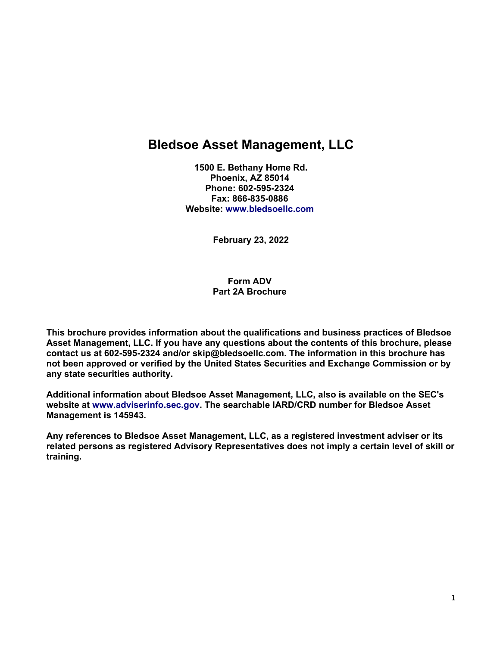# **Bledsoe Asset Management, LLC**

**1500 E. Bethany Home Rd. Phoenix, AZ 85014 Phone: 602-595-2324 Fax: 866-835-0886 Website: [www.bledsoellc.com](http://www.bledsoellc.com/)**

**February 23, 2022**

**Form ADV Part 2A Brochure** 

**This brochure provides information about the qualifications and business practices of Bledsoe Asset Management, LLC. If you have any questions about the contents of this brochure, please contact us at 602-595-2324 and/or skip@bledsoellc.com. The information in this brochure has not been approved or verified by the United States Securities and Exchange Commission or by any state securities authority.** 

**Additional information about Bledsoe Asset Management, LLC, also is available on the SEC's website at [www.adviserinfo.sec.gov.](http://www.adviserinfo.sec.gov/) The searchable IARD/CRD number for Bledsoe Asset Management is 145943.** 

**Any references to Bledsoe Asset Management, LLC, as a registered investment adviser or its related persons as registered Advisory Representatives does not imply a certain level of skill or training.**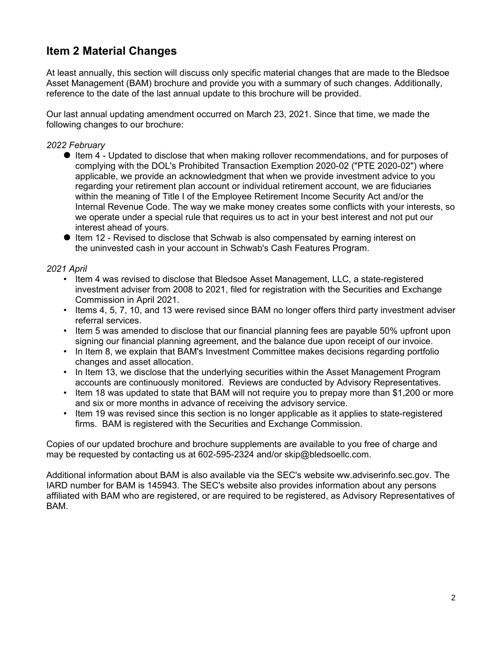## **Item 2 Material Changes**

At least annually, this section will discuss only specific material changes that are made to the Bledsoe Asset Management (BAM) brochure and provide you with a summary of such changes. Additionally, reference to the date of the last annual update to this brochure will be provided.

Our last annual updating amendment occurred on March 23, 2021. Since that time, we made the following changes to our brochure:

#### *2022 February*

- Item 4 Updated to disclose that when making rollover recommendations, and for purposes of complying with the DOL's Prohibited Transaction Exemption 2020-02 ("PTE 2020-02") where applicable, we provide an acknowledgment that when we provide investment advice to you regarding your retirement plan account or individual retirement account, we are fiduciaries within the meaning of Title I of the Employee Retirement Income Security Act and/or the Internal Revenue Code. The way we make money creates some conflicts with your interests, so we operate under a special rule that requires us to act in your best interest and not put our interest ahead of yours.
- Item 12 Revised to disclose that Schwab is also compensated by earning interest on the uninvested cash in your account in Schwab's Cash Features Program.

#### *2021 April*

- Item 4 was revised to disclose that Bledsoe Asset Management, LLC, a state-registered investment adviser from 2008 to 2021, filed for registration with the Securities and Exchange Commission in April 2021.
- Items 4, 5, 7, 10, and 13 were revised since BAM no longer offers third party investment adviser referral services.
- Item 5 was amended to disclose that our financial planning fees are payable 50% upfront upon signing our financial planning agreement, and the balance due upon receipt of our invoice.
- In Item 8, we explain that BAM's Investment Committee makes decisions regarding portfolio changes and asset allocation.
- In Item 13, we disclose that the underlying securities within the Asset Management Program accounts are continuously monitored. Reviews are conducted by Advisory Representatives.
- Item 18 was updated to state that BAM will not require you to prepay more than \$1,200 or more and six or more months in advance of receiving the advisory service.
- Item 19 was revised since this section is no longer applicable as it applies to state-registered firms. BAM is registered with the Securities and Exchange Commission.

Copies of our updated brochure and brochure supplements are available to you free of charge and may be requested by contacting us at 602-595-2324 and/or skip@bledsoellc.com.

Additional information about BAM is also available via the SEC's website ww.adviserinfo.sec.gov. The IARD number for BAM is 145943. The SEC's website also provides information about any persons affiliated with BAM who are registered, or are required to be registered, as Advisory Representatives of BAM.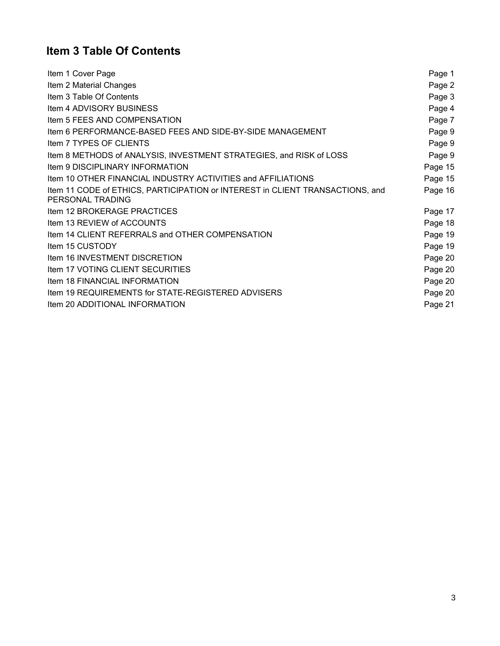# **Item 3 Table Of Contents**

| Item 1 Cover Page                                                                                 | Page 1  |
|---------------------------------------------------------------------------------------------------|---------|
| Item 2 Material Changes                                                                           | Page 2  |
| Item 3 Table Of Contents                                                                          | Page 3  |
| Item 4 ADVISORY BUSINESS                                                                          | Page 4  |
| Item 5 FEES AND COMPENSATION                                                                      | Page 7  |
| Item 6 PERFORMANCE-BASED FEES AND SIDE-BY-SIDE MANAGEMENT                                         | Page 9  |
| Item 7 TYPES OF CLIENTS                                                                           | Page 9  |
| Item 8 METHODS of ANALYSIS, INVESTMENT STRATEGIES, and RISK of LOSS                               | Page 9  |
| <b>Item 9 DISCIPLINARY INFORMATION</b>                                                            | Page 15 |
| Item 10 OTHER FINANCIAL INDUSTRY ACTIVITIES and AFFILIATIONS                                      | Page 15 |
| Item 11 CODE of ETHICS, PARTICIPATION or INTEREST in CLIENT TRANSACTIONS, and<br>PERSONAL TRADING | Page 16 |
| Item 12 BROKERAGE PRACTICES                                                                       | Page 17 |
| Item 13 REVIEW of ACCOUNTS                                                                        | Page 18 |
| Item 14 CLIENT REFERRALS and OTHER COMPENSATION                                                   | Page 19 |
| Item 15 CUSTODY                                                                                   | Page 19 |
| Item 16 INVESTMENT DISCRETION                                                                     | Page 20 |
| Item 17 VOTING CLIENT SECURITIES                                                                  | Page 20 |
| <b>Item 18 FINANCIAL INFORMATION</b>                                                              | Page 20 |
| Item 19 REQUIREMENTS for STATE-REGISTERED ADVISERS                                                | Page 20 |
| Item 20 ADDITIONAL INFORMATION                                                                    | Page 21 |
|                                                                                                   |         |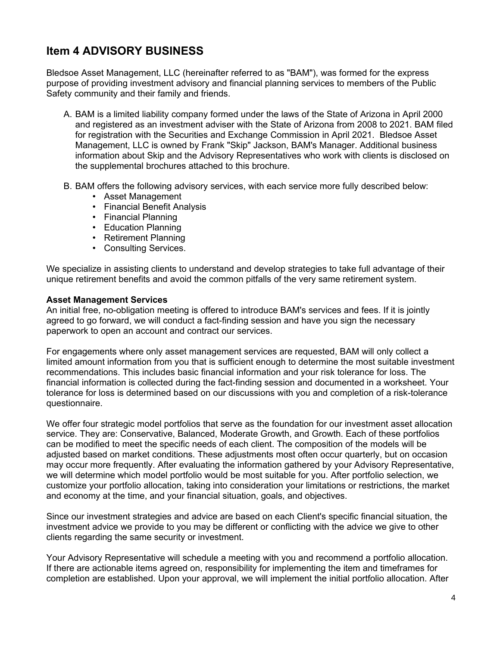## **Item 4 ADVISORY BUSINESS**

Bledsoe Asset Management, LLC (hereinafter referred to as "BAM"), was formed for the express purpose of providing investment advisory and financial planning services to members of the Public Safety community and their family and friends.

- A. BAM is a limited liability company formed under the laws of the State of Arizona in April 2000 and registered as an investment adviser with the State of Arizona from 2008 to 2021. BAM filed for registration with the Securities and Exchange Commission in April 2021. Bledsoe Asset Management, LLC is owned by Frank "Skip" Jackson, BAM's Manager. Additional business information about Skip and the Advisory Representatives who work with clients is disclosed on the supplemental brochures attached to this brochure.
- B. BAM offers the following advisory services, with each service more fully described below:
	- Asset Management
	- Financial Benefit Analysis
	- Financial Planning
	- Education Planning
	- Retirement Planning
	- Consulting Services.

We specialize in assisting clients to understand and develop strategies to take full advantage of their unique retirement benefits and avoid the common pitfalls of the very same retirement system.

#### **Asset Management Services**

An initial free, no-obligation meeting is offered to introduce BAM's services and fees. If it is jointly agreed to go forward, we will conduct a fact-finding session and have you sign the necessary paperwork to open an account and contract our services.

For engagements where only asset management services are requested, BAM will only collect a limited amount information from you that is sufficient enough to determine the most suitable investment recommendations. This includes basic financial information and your risk tolerance for loss. The financial information is collected during the fact-finding session and documented in a worksheet. Your tolerance for loss is determined based on our discussions with you and completion of a risk-tolerance questionnaire.

We offer four strategic model portfolios that serve as the foundation for our investment asset allocation service. They are: Conservative, Balanced, Moderate Growth, and Growth. Each of these portfolios can be modified to meet the specific needs of each client. The composition of the models will be adjusted based on market conditions. These adjustments most often occur quarterly, but on occasion may occur more frequently. After evaluating the information gathered by your Advisory Representative, we will determine which model portfolio would be most suitable for you. After portfolio selection, we customize your portfolio allocation, taking into consideration your limitations or restrictions, the market and economy at the time, and your financial situation, goals, and objectives.

Since our investment strategies and advice are based on each Client's specific financial situation, the investment advice we provide to you may be different or conflicting with the advice we give to other clients regarding the same security or investment.

Your Advisory Representative will schedule a meeting with you and recommend a portfolio allocation. If there are actionable items agreed on, responsibility for implementing the item and timeframes for completion are established. Upon your approval, we will implement the initial portfolio allocation. After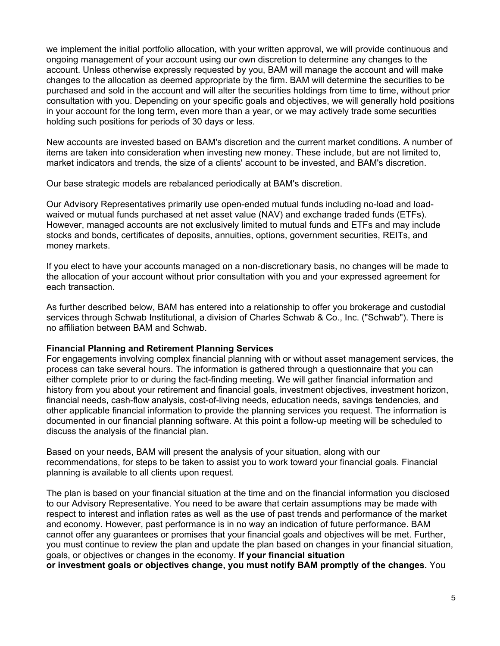we implement the initial portfolio allocation, with your written approval, we will provide continuous and ongoing management of your account using our own discretion to determine any changes to the account. Unless otherwise expressly requested by you, BAM will manage the account and will make changes to the allocation as deemed appropriate by the firm. BAM will determine the securities to be purchased and sold in the account and will alter the securities holdings from time to time, without prior consultation with you. Depending on your specific goals and objectives, we will generally hold positions in your account for the long term, even more than a year, or we may actively trade some securities holding such positions for periods of 30 days or less.

New accounts are invested based on BAM's discretion and the current market conditions. A number of items are taken into consideration when investing new money. These include, but are not limited to, market indicators and trends, the size of a clients' account to be invested, and BAM's discretion.

Our base strategic models are rebalanced periodically at BAM's discretion.

Our Advisory Representatives primarily use open-ended mutual funds including no-load and loadwaived or mutual funds purchased at net asset value (NAV) and exchange traded funds (ETFs). However, managed accounts are not exclusively limited to mutual funds and ETFs and may include stocks and bonds, certificates of deposits, annuities, options, government securities, REITs, and money markets.

If you elect to have your accounts managed on a non-discretionary basis, no changes will be made to the allocation of your account without prior consultation with you and your expressed agreement for each transaction.

As further described below, BAM has entered into a relationship to offer you brokerage and custodial services through Schwab Institutional, a division of Charles Schwab & Co., Inc. ("Schwab"). There is no affiliation between BAM and Schwab.

#### **Financial Planning and Retirement Planning Services**

For engagements involving complex financial planning with or without asset management services, the process can take several hours. The information is gathered through a questionnaire that you can either complete prior to or during the fact-finding meeting. We will gather financial information and history from you about your retirement and financial goals, investment objectives, investment horizon, financial needs, cash-flow analysis, cost-of-living needs, education needs, savings tendencies, and other applicable financial information to provide the planning services you request. The information is documented in our financial planning software. At this point a follow-up meeting will be scheduled to discuss the analysis of the financial plan.

Based on your needs, BAM will present the analysis of your situation, along with our recommendations, for steps to be taken to assist you to work toward your financial goals. Financial planning is available to all clients upon request.

The plan is based on your financial situation at the time and on the financial information you disclosed to our Advisory Representative. You need to be aware that certain assumptions may be made with respect to interest and inflation rates as well as the use of past trends and performance of the market and economy. However, past performance is in no way an indication of future performance. BAM cannot offer any guarantees or promises that your financial goals and objectives will be met. Further, you must continue to review the plan and update the plan based on changes in your financial situation, goals, or objectives or changes in the economy. **If your financial situation or investment goals or objectives change, you must notify BAM promptly of the changes.** You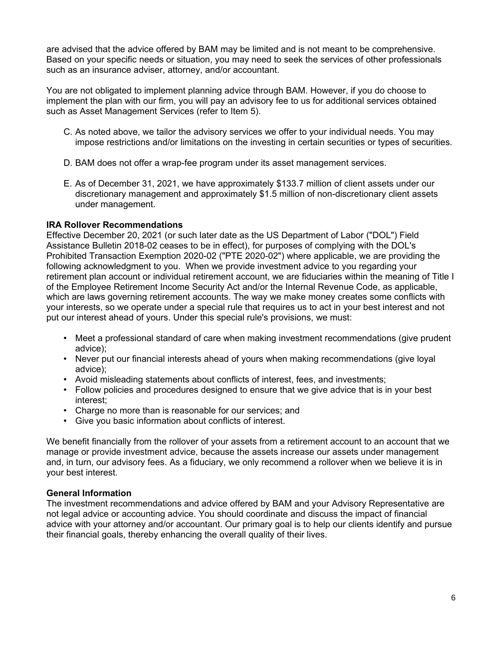are advised that the advice offered by BAM may be limited and is not meant to be comprehensive. Based on your specific needs or situation, you may need to seek the services of other professionals such as an insurance adviser, attorney, and/or accountant.

You are not obligated to implement planning advice through BAM. However, if you do choose to implement the plan with our firm, you will pay an advisory fee to us for additional services obtained such as Asset Management Services (refer to Item 5).

- C. As noted above, we tailor the advisory services we offer to your individual needs. You may impose restrictions and/or limitations on the investing in certain securities or types of securities.
- D. BAM does not offer a wrap-fee program under its asset management services.
- E. As of December 31, 2021, we have approximately \$133.7 million of client assets under our discretionary management and approximately \$1.5 million of non-discretionary client assets under management.

### **IRA Rollover Recommendations**

Effective December 20, 2021 (or such later date as the US Department of Labor ("DOL") Field Assistance Bulletin 2018-02 ceases to be in effect), for purposes of complying with the DOL's Prohibited Transaction Exemption 2020-02 ("PTE 2020-02") where applicable, we are providing the following acknowledgment to you. When we provide investment advice to you regarding your retirement plan account or individual retirement account, we are fiduciaries within the meaning of Title I of the Employee Retirement Income Security Act and/or the Internal Revenue Code, as applicable, which are laws governing retirement accounts. The way we make money creates some conflicts with your interests, so we operate under a special rule that requires us to act in your best interest and not put our interest ahead of yours. Under this special rule's provisions, we must:

- Meet a professional standard of care when making investment recommendations (give prudent advice);
- Never put our financial interests ahead of yours when making recommendations (give loyal advice);
- Avoid misleading statements about conflicts of interest, fees, and investments;
- Follow policies and procedures designed to ensure that we give advice that is in your best interest;
- Charge no more than is reasonable for our services; and
- Give you basic information about conflicts of interest.

We benefit financially from the rollover of your assets from a retirement account to an account that we manage or provide investment advice, because the assets increase our assets under management and, in turn, our advisory fees. As a fiduciary, we only recommend a rollover when we believe it is in your best interest.

#### **General Information**

The investment recommendations and advice offered by BAM and your Advisory Representative are not legal advice or accounting advice. You should coordinate and discuss the impact of financial advice with your attorney and/or accountant. Our primary goal is to help our clients identify and pursue their financial goals, thereby enhancing the overall quality of their lives.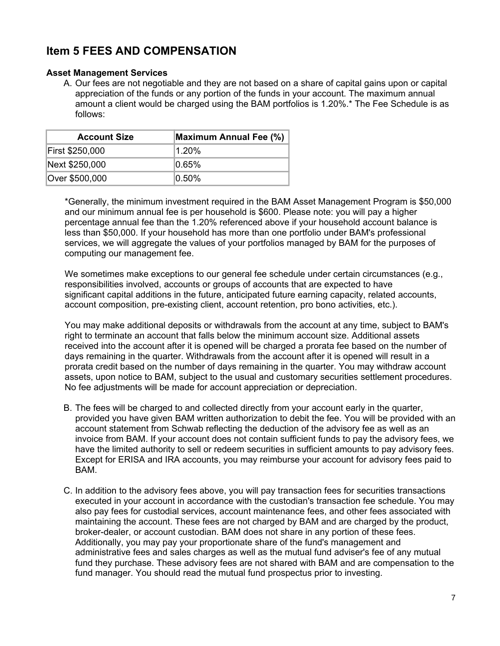## **Item 5 FEES AND COMPENSATION**

### **Asset Management Services**

A. Our fees are not negotiable and they are not based on a share of capital gains upon or capital appreciation of the funds or any portion of the funds in your account. The maximum annual amount a client would be charged using the BAM portfolios is 1.20%.\* The Fee Schedule is as follows:

| <b>Account Size</b> | Maximum Annual Fee (%) |
|---------------------|------------------------|
| First \$250,000     | 1.20%                  |
| Next \$250,000      | $ 0.65\%$              |
| Over \$500,000      | 10.50%                 |

\*Generally, the minimum investment required in the BAM Asset Management Program is \$50,000 and our minimum annual fee is per household is \$600. Please note: you will pay a higher percentage annual fee than the 1.20% referenced above if your household account balance is less than \$50,000. If your household has more than one portfolio under BAM's professional services, we will aggregate the values of your portfolios managed by BAM for the purposes of computing our management fee.

We sometimes make exceptions to our general fee schedule under certain circumstances (e.g., responsibilities involved, accounts or groups of accounts that are expected to have significant capital additions in the future, anticipated future earning capacity, related accounts, account composition, pre-existing client, account retention, pro bono activities, etc.).

You may make additional deposits or withdrawals from the account at any time, subject to BAM's right to terminate an account that falls below the minimum account size. Additional assets received into the account after it is opened will be charged a prorata fee based on the number of days remaining in the quarter. Withdrawals from the account after it is opened will result in a prorata credit based on the number of days remaining in the quarter. You may withdraw account assets, upon notice to BAM, subject to the usual and customary securities settlement procedures. No fee adjustments will be made for account appreciation or depreciation.

- B. The fees will be charged to and collected directly from your account early in the quarter, provided you have given BAM written authorization to debit the fee. You will be provided with an account statement from Schwab reflecting the deduction of the advisory fee as well as an invoice from BAM. If your account does not contain sufficient funds to pay the advisory fees, we have the limited authority to sell or redeem securities in sufficient amounts to pay advisory fees. Except for ERISA and IRA accounts, you may reimburse your account for advisory fees paid to BAM.
- C. In addition to the advisory fees above, you will pay transaction fees for securities transactions executed in your account in accordance with the custodian's transaction fee schedule. You may also pay fees for custodial services, account maintenance fees, and other fees associated with maintaining the account. These fees are not charged by BAM and are charged by the product, broker-dealer, or account custodian. BAM does not share in any portion of these fees. Additionally, you may pay your proportionate share of the fund's management and administrative fees and sales charges as well as the mutual fund adviser's fee of any mutual fund they purchase. These advisory fees are not shared with BAM and are compensation to the fund manager. You should read the mutual fund prospectus prior to investing.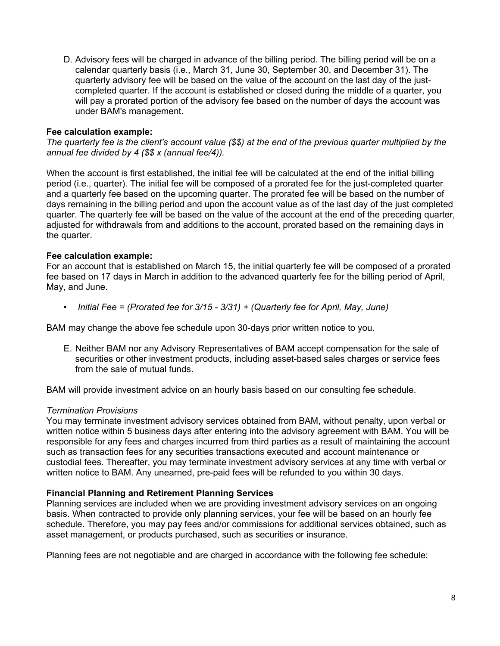D. Advisory fees will be charged in advance of the billing period. The billing period will be on a calendar quarterly basis (i.e., March 31, June 30, September 30, and December 31). The quarterly advisory fee will be based on the value of the account on the last day of the justcompleted quarter. If the account is established or closed during the middle of a quarter, you will pay a prorated portion of the advisory fee based on the number of days the account was under BAM's management.

### **Fee calculation example:**

*The quarterly fee is the client's account value (\$\$) at the end of the previous quarter multiplied by the annual fee divided by 4 (\$\$ x (annual fee/4)).*

When the account is first established, the initial fee will be calculated at the end of the initial billing period (i.e., quarter). The initial fee will be composed of a prorated fee for the just-completed quarter and a quarterly fee based on the upcoming quarter. The prorated fee will be based on the number of days remaining in the billing period and upon the account value as of the last day of the just completed quarter. The quarterly fee will be based on the value of the account at the end of the preceding quarter, adjusted for withdrawals from and additions to the account, prorated based on the remaining days in the quarter.

### **Fee calculation example:**

For an account that is established on March 15, the initial quarterly fee will be composed of a prorated fee based on 17 days in March in addition to the advanced quarterly fee for the billing period of April, May, and June.

• *Initial Fee = (Prorated fee for 3/15 - 3/31) + (Quarterly fee for April, May, June)* 

BAM may change the above fee schedule upon 30-days prior written notice to you.

E. Neither BAM nor any Advisory Representatives of BAM accept compensation for the sale of securities or other investment products, including asset-based sales charges or service fees from the sale of mutual funds.

BAM will provide investment advice on an hourly basis based on our consulting fee schedule.

#### *Termination Provisions*

You may terminate investment advisory services obtained from BAM, without penalty, upon verbal or written notice within 5 business days after entering into the advisory agreement with BAM. You will be responsible for any fees and charges incurred from third parties as a result of maintaining the account such as transaction fees for any securities transactions executed and account maintenance or custodial fees. Thereafter, you may terminate investment advisory services at any time with verbal or written notice to BAM. Any unearned, pre-paid fees will be refunded to you within 30 days.

#### **Financial Planning and Retirement Planning Services**

Planning services are included when we are providing investment advisory services on an ongoing basis. When contracted to provide only planning services, your fee will be based on an hourly fee schedule. Therefore, you may pay fees and/or commissions for additional services obtained, such as asset management, or products purchased, such as securities or insurance.

Planning fees are not negotiable and are charged in accordance with the following fee schedule: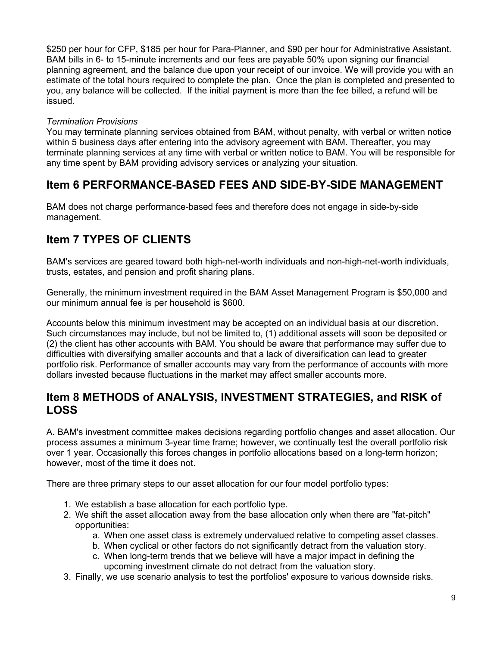\$250 per hour for CFP, \$185 per hour for Para-Planner, and \$90 per hour for Administrative Assistant. BAM bills in 6- to 15-minute increments and our fees are payable 50% upon signing our financial planning agreement, and the balance due upon your receipt of our invoice. We will provide you with an estimate of the total hours required to complete the plan. Once the plan is completed and presented to you, any balance will be collected. If the initial payment is more than the fee billed, a refund will be issued.

### *Termination Provisions*

You may terminate planning services obtained from BAM, without penalty, with verbal or written notice within 5 business days after entering into the advisory agreement with BAM. Thereafter, you may terminate planning services at any time with verbal or written notice to BAM. You will be responsible for any time spent by BAM providing advisory services or analyzing your situation.

## **Item 6 PERFORMANCE-BASED FEES AND SIDE-BY-SIDE MANAGEMENT**

BAM does not charge performance-based fees and therefore does not engage in side-by-side management.

## **Item 7 TYPES OF CLIENTS**

BAM's services are geared toward both high-net-worth individuals and non-high-net-worth individuals, trusts, estates, and pension and profit sharing plans.

Generally, the minimum investment required in the BAM Asset Management Program is \$50,000 and our minimum annual fee is per household is \$600.

Accounts below this minimum investment may be accepted on an individual basis at our discretion. Such circumstances may include, but not be limited to, (1) additional assets will soon be deposited or (2) the client has other accounts with BAM. You should be aware that performance may suffer due to difficulties with diversifying smaller accounts and that a lack of diversification can lead to greater portfolio risk. Performance of smaller accounts may vary from the performance of accounts with more dollars invested because fluctuations in the market may affect smaller accounts more.

### **Item 8 METHODS of ANALYSIS, INVESTMENT STRATEGIES, and RISK of LOSS**

A. BAM's investment committee makes decisions regarding portfolio changes and asset allocation. Our process assumes a minimum 3-year time frame; however, we continually test the overall portfolio risk over 1 year. Occasionally this forces changes in portfolio allocations based on a long-term horizon; however, most of the time it does not.

There are three primary steps to our asset allocation for our four model portfolio types:

- 1. We establish a base allocation for each portfolio type.
- 2. We shift the asset allocation away from the base allocation only when there are "fat-pitch" opportunities:
	- a. When one asset class is extremely undervalued relative to competing asset classes.
	- b. When cyclical or other factors do not significantly detract from the valuation story.
	- c. When long-term trends that we believe will have a major impact in defining the upcoming investment climate do not detract from the valuation story.
- 3. Finally, we use scenario analysis to test the portfolios' exposure to various downside risks.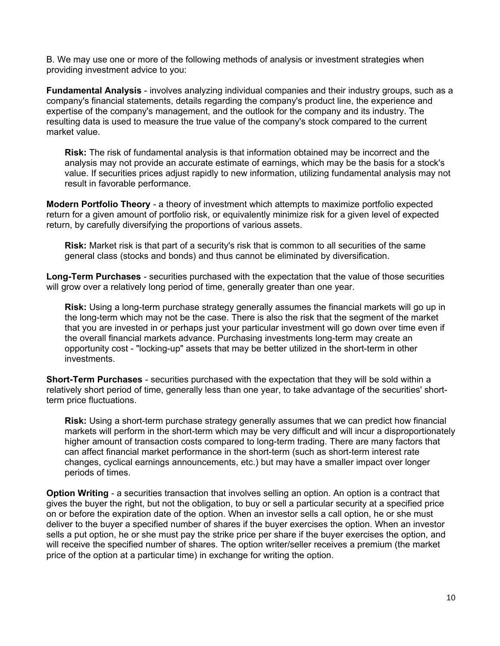B. We may use one or more of the following methods of analysis or investment strategies when providing investment advice to you:

**Fundamental Analysis** - involves analyzing individual companies and their industry groups, such as a company's financial statements, details regarding the company's product line, the experience and expertise of the company's management, and the outlook for the company and its industry. The resulting data is used to measure the true value of the company's stock compared to the current market value.

**Risk:** The risk of fundamental analysis is that information obtained may be incorrect and the analysis may not provide an accurate estimate of earnings, which may be the basis for a stock's value. If securities prices adjust rapidly to new information, utilizing fundamental analysis may not result in favorable performance.

**Modern Portfolio Theory** - a theory of investment which attempts to maximize portfolio expected return for a given amount of portfolio risk, or equivalently minimize risk for a given level of expected return, by carefully diversifying the proportions of various assets.

**Risk:** Market risk is that part of a security's risk that is common to all securities of the same general class (stocks and bonds) and thus cannot be eliminated by diversification.

**Long-Term Purchases** - securities purchased with the expectation that the value of those securities will grow over a relatively long period of time, generally greater than one year.

**Risk:** Using a long-term purchase strategy generally assumes the financial markets will go up in the long-term which may not be the case. There is also the risk that the segment of the market that you are invested in or perhaps just your particular investment will go down over time even if the overall financial markets advance. Purchasing investments long-term may create an opportunity cost - "locking-up" assets that may be better utilized in the short-term in other investments.

**Short-Term Purchases** - securities purchased with the expectation that they will be sold within a relatively short period of time, generally less than one year, to take advantage of the securities' shortterm price fluctuations.

**Risk:** Using a short-term purchase strategy generally assumes that we can predict how financial markets will perform in the short-term which may be very difficult and will incur a disproportionately higher amount of transaction costs compared to long-term trading. There are many factors that can affect financial market performance in the short-term (such as short-term interest rate changes, cyclical earnings announcements, etc.) but may have a smaller impact over longer periods of times.

**Option Writing** - a securities transaction that involves selling an option. An option is a contract that gives the buyer the right, but not the obligation, to buy or sell a particular security at a specified price on or before the expiration date of the option. When an investor sells a call option, he or she must deliver to the buyer a specified number of shares if the buyer exercises the option. When an investor sells a put option, he or she must pay the strike price per share if the buyer exercises the option, and will receive the specified number of shares. The option writer/seller receives a premium (the market price of the option at a particular time) in exchange for writing the option.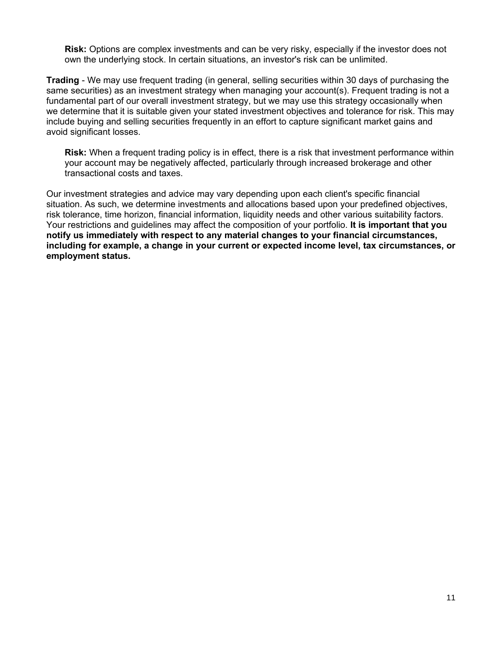**Risk:** Options are complex investments and can be very risky, especially if the investor does not own the underlying stock. In certain situations, an investor's risk can be unlimited.

**Trading** - We may use frequent trading (in general, selling securities within 30 days of purchasing the same securities) as an investment strategy when managing your account(s). Frequent trading is not a fundamental part of our overall investment strategy, but we may use this strategy occasionally when we determine that it is suitable given your stated investment objectives and tolerance for risk. This may include buying and selling securities frequently in an effort to capture significant market gains and avoid significant losses.

**Risk:** When a frequent trading policy is in effect, there is a risk that investment performance within your account may be negatively affected, particularly through increased brokerage and other transactional costs and taxes.

Our investment strategies and advice may vary depending upon each client's specific financial situation. As such, we determine investments and allocations based upon your predefined objectives, risk tolerance, time horizon, financial information, liquidity needs and other various suitability factors. Your restrictions and guidelines may affect the composition of your portfolio. **It is important that you notify us immediately with respect to any material changes to your financial circumstances, including for example, a change in your current or expected income level, tax circumstances, or employment status.**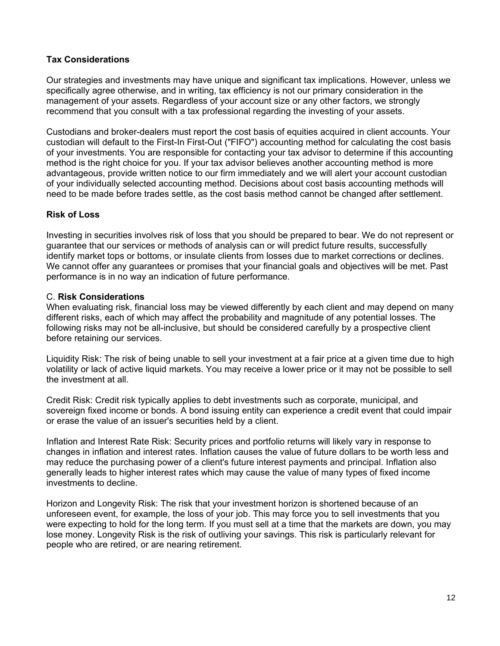### **Tax Considerations**

Our strategies and investments may have unique and significant tax implications. However, unless we specifically agree otherwise, and in writing, tax efficiency is not our primary consideration in the management of your assets. Regardless of your account size or any other factors, we strongly recommend that you consult with a tax professional regarding the investing of your assets.

Custodians and broker-dealers must report the cost basis of equities acquired in client accounts. Your custodian will default to the First-In First-Out ("FIFO") accounting method for calculating the cost basis of your investments. You are responsible for contacting your tax advisor to determine if this accounting method is the right choice for you. If your tax advisor believes another accounting method is more advantageous, provide written notice to our firm immediately and we will alert your account custodian of your individually selected accounting method. Decisions about cost basis accounting methods will need to be made before trades settle, as the cost basis method cannot be changed after settlement.

### **Risk of Loss**

Investing in securities involves risk of loss that you should be prepared to bear. We do not represent or guarantee that our services or methods of analysis can or will predict future results, successfully identify market tops or bottoms, or insulate clients from losses due to market corrections or declines. We cannot offer any guarantees or promises that your financial goals and objectives will be met. Past performance is in no way an indication of future performance.

### C. **Risk Considerations**

When evaluating risk, financial loss may be viewed differently by each client and may depend on many different risks, each of which may affect the probability and magnitude of any potential losses. The following risks may not be all-inclusive, but should be considered carefully by a prospective client before retaining our services.

Liquidity Risk: The risk of being unable to sell your investment at a fair price at a given time due to high volatility or lack of active liquid markets. You may receive a lower price or it may not be possible to sell the investment at all.

Credit Risk: Credit risk typically applies to debt investments such as corporate, municipal, and sovereign fixed income or bonds. A bond issuing entity can experience a credit event that could impair or erase the value of an issuer's securities held by a client.

Inflation and Interest Rate Risk: Security prices and portfolio returns will likely vary in response to changes in inflation and interest rates. Inflation causes the value of future dollars to be worth less and may reduce the purchasing power of a client's future interest payments and principal. Inflation also generally leads to higher interest rates which may cause the value of many types of fixed income investments to decline.

Horizon and Longevity Risk: The risk that your investment horizon is shortened because of an unforeseen event, for example, the loss of your job. This may force you to sell investments that you were expecting to hold for the long term. If you must sell at a time that the markets are down, you may lose money. Longevity Risk is the risk of outliving your savings. This risk is particularly relevant for people who are retired, or are nearing retirement.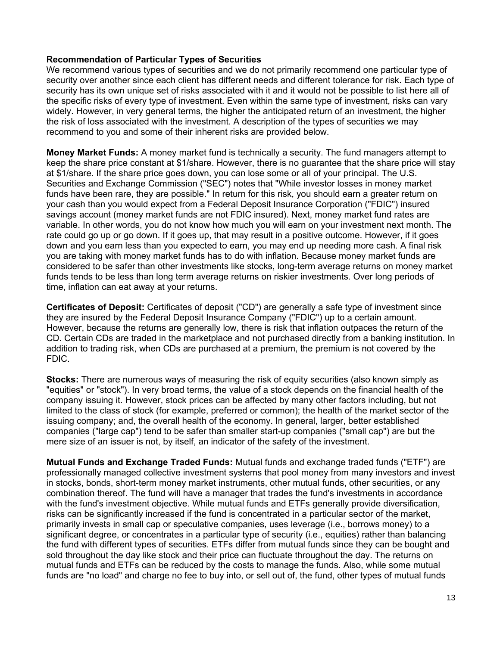### **Recommendation of Particular Types of Securities**

We recommend various types of securities and we do not primarily recommend one particular type of security over another since each client has different needs and different tolerance for risk. Each type of security has its own unique set of risks associated with it and it would not be possible to list here all of the specific risks of every type of investment. Even within the same type of investment, risks can vary widely. However, in very general terms, the higher the anticipated return of an investment, the higher the risk of loss associated with the investment. A description of the types of securities we may recommend to you and some of their inherent risks are provided below.

**Money Market Funds:** A money market fund is technically a security. The fund managers attempt to keep the share price constant at \$1/share. However, there is no guarantee that the share price will stay at \$1/share. If the share price goes down, you can lose some or all of your principal. The U.S. Securities and Exchange Commission ("SEC") notes that "While investor losses in money market funds have been rare, they are possible." In return for this risk, you should earn a greater return on your cash than you would expect from a Federal Deposit Insurance Corporation ("FDIC") insured savings account (money market funds are not FDIC insured). Next, money market fund rates are variable. In other words, you do not know how much you will earn on your investment next month. The rate could go up or go down. If it goes up, that may result in a positive outcome. However, if it goes down and you earn less than you expected to earn, you may end up needing more cash. A final risk you are taking with money market funds has to do with inflation. Because money market funds are considered to be safer than other investments like stocks, long-term average returns on money market funds tends to be less than long term average returns on riskier investments. Over long periods of time, inflation can eat away at your returns.

**Certificates of Deposit:** Certificates of deposit ("CD") are generally a safe type of investment since they are insured by the Federal Deposit Insurance Company ("FDIC") up to a certain amount. However, because the returns are generally low, there is risk that inflation outpaces the return of the CD. Certain CDs are traded in the marketplace and not purchased directly from a banking institution. In addition to trading risk, when CDs are purchased at a premium, the premium is not covered by the FDIC.

**Stocks:** There are numerous ways of measuring the risk of equity securities (also known simply as "equities" or "stock"). In very broad terms, the value of a stock depends on the financial health of the company issuing it. However, stock prices can be affected by many other factors including, but not limited to the class of stock (for example, preferred or common); the health of the market sector of the issuing company; and, the overall health of the economy. In general, larger, better established companies ("large cap") tend to be safer than smaller start-up companies ("small cap") are but the mere size of an issuer is not, by itself, an indicator of the safety of the investment.

**Mutual Funds and Exchange Traded Funds:** Mutual funds and exchange traded funds ("ETF") are professionally managed collective investment systems that pool money from many investors and invest in stocks, bonds, short-term money market instruments, other mutual funds, other securities, or any combination thereof. The fund will have a manager that trades the fund's investments in accordance with the fund's investment objective. While mutual funds and ETFs generally provide diversification, risks can be significantly increased if the fund is concentrated in a particular sector of the market, primarily invests in small cap or speculative companies, uses leverage (i.e., borrows money) to a significant degree, or concentrates in a particular type of security (i.e., equities) rather than balancing the fund with different types of securities. ETFs differ from mutual funds since they can be bought and sold throughout the day like stock and their price can fluctuate throughout the day. The returns on mutual funds and ETFs can be reduced by the costs to manage the funds. Also, while some mutual funds are "no load" and charge no fee to buy into, or sell out of, the fund, other types of mutual funds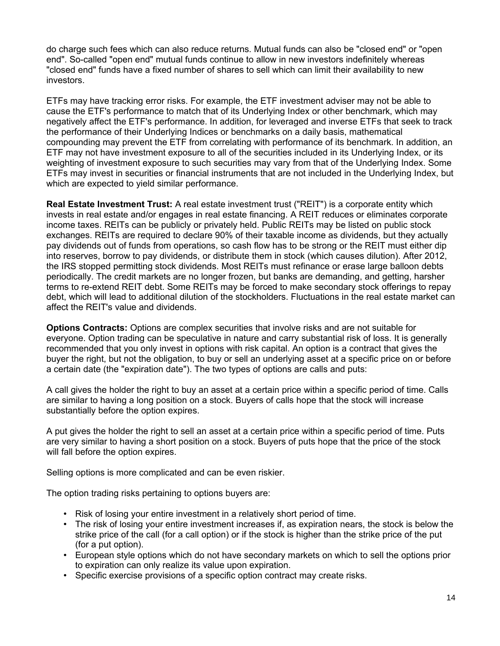do charge such fees which can also reduce returns. Mutual funds can also be "closed end" or "open end". So-called "open end" mutual funds continue to allow in new investors indefinitely whereas "closed end" funds have a fixed number of shares to sell which can limit their availability to new investors.

ETFs may have tracking error risks. For example, the ETF investment adviser may not be able to cause the ETF's performance to match that of its Underlying Index or other benchmark, which may negatively affect the ETF's performance. In addition, for leveraged and inverse ETFs that seek to track the performance of their Underlying Indices or benchmarks on a daily basis, mathematical compounding may prevent the ETF from correlating with performance of its benchmark. In addition, an ETF may not have investment exposure to all of the securities included in its Underlying Index, or its weighting of investment exposure to such securities may vary from that of the Underlying Index. Some ETFs may invest in securities or financial instruments that are not included in the Underlying Index, but which are expected to yield similar performance.

**Real Estate Investment Trust:** A real estate investment trust ("REIT") is a corporate entity which invests in real estate and/or engages in real estate financing. A REIT reduces or eliminates corporate income taxes. REITs can be publicly or privately held. Public REITs may be listed on public stock exchanges. REITs are required to declare 90% of their taxable income as dividends, but they actually pay dividends out of funds from operations, so cash flow has to be strong or the REIT must either dip into reserves, borrow to pay dividends, or distribute them in stock (which causes dilution). After 2012, the IRS stopped permitting stock dividends. Most REITs must refinance or erase large balloon debts periodically. The credit markets are no longer frozen, but banks are demanding, and getting, harsher terms to re-extend REIT debt. Some REITs may be forced to make secondary stock offerings to repay debt, which will lead to additional dilution of the stockholders. Fluctuations in the real estate market can affect the REIT's value and dividends.

**Options Contracts:** Options are complex securities that involve risks and are not suitable for everyone. Option trading can be speculative in nature and carry substantial risk of loss. It is generally recommended that you only invest in options with risk capital. An option is a contract that gives the buyer the right, but not the obligation, to buy or sell an underlying asset at a specific price on or before a certain date (the "expiration date"). The two types of options are calls and puts:

A call gives the holder the right to buy an asset at a certain price within a specific period of time. Calls are similar to having a long position on a stock. Buyers of calls hope that the stock will increase substantially before the option expires.

A put gives the holder the right to sell an asset at a certain price within a specific period of time. Puts are very similar to having a short position on a stock. Buyers of puts hope that the price of the stock will fall before the option expires.

Selling options is more complicated and can be even riskier.

The option trading risks pertaining to options buyers are:

- Risk of losing your entire investment in a relatively short period of time.
- The risk of losing your entire investment increases if, as expiration nears, the stock is below the strike price of the call (for a call option) or if the stock is higher than the strike price of the put (for a put option).
- European style options which do not have secondary markets on which to sell the options prior to expiration can only realize its value upon expiration.
- Specific exercise provisions of a specific option contract may create risks.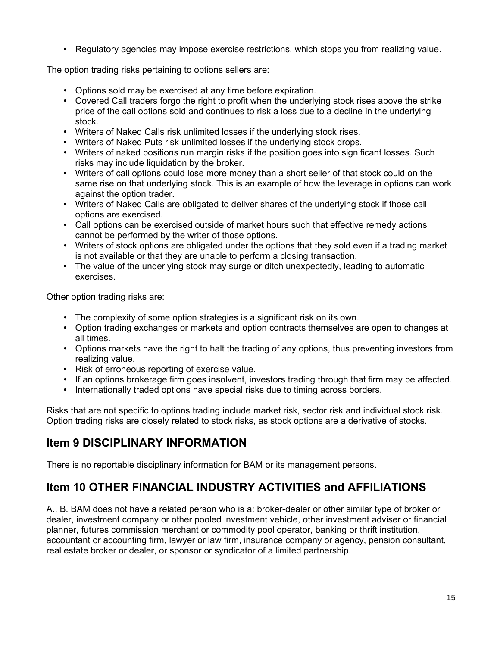• Regulatory agencies may impose exercise restrictions, which stops you from realizing value.

The option trading risks pertaining to options sellers are:

- Options sold may be exercised at any time before expiration.
- Covered Call traders forgo the right to profit when the underlying stock rises above the strike price of the call options sold and continues to risk a loss due to a decline in the underlying stock.
- Writers of Naked Calls risk unlimited losses if the underlying stock rises.
- Writers of Naked Puts risk unlimited losses if the underlying stock drops.
- Writers of naked positions run margin risks if the position goes into significant losses. Such risks may include liquidation by the broker.
- Writers of call options could lose more money than a short seller of that stock could on the same rise on that underlying stock. This is an example of how the leverage in options can work against the option trader.
- Writers of Naked Calls are obligated to deliver shares of the underlying stock if those call options are exercised.
- Call options can be exercised outside of market hours such that effective remedy actions cannot be performed by the writer of those options.
- Writers of stock options are obligated under the options that they sold even if a trading market is not available or that they are unable to perform a closing transaction.
- The value of the underlying stock may surge or ditch unexpectedly, leading to automatic exercises.

Other option trading risks are:

- The complexity of some option strategies is a significant risk on its own.
- Option trading exchanges or markets and option contracts themselves are open to changes at all times.
- Options markets have the right to halt the trading of any options, thus preventing investors from realizing value.
- Risk of erroneous reporting of exercise value.
- If an options brokerage firm goes insolvent, investors trading through that firm may be affected.
- Internationally traded options have special risks due to timing across borders.

Risks that are not specific to options trading include market risk, sector risk and individual stock risk. Option trading risks are closely related to stock risks, as stock options are a derivative of stocks.

### **Item 9 DISCIPLINARY INFORMATION**

There is no reportable disciplinary information for BAM or its management persons.

## **Item 10 OTHER FINANCIAL INDUSTRY ACTIVITIES and AFFILIATIONS**

A., B. BAM does not have a related person who is a: broker-dealer or other similar type of broker or dealer, investment company or other pooled investment vehicle, other investment adviser or financial planner, futures commission merchant or commodity pool operator, banking or thrift institution, accountant or accounting firm, lawyer or law firm, insurance company or agency, pension consultant, real estate broker or dealer, or sponsor or syndicator of a limited partnership.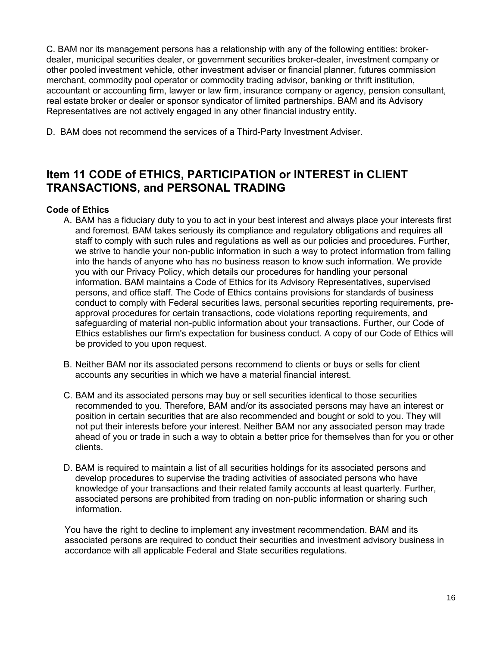C. BAM nor its management persons has a relationship with any of the following entities: brokerdealer, municipal securities dealer, or government securities broker-dealer, investment company or other pooled investment vehicle, other investment adviser or financial planner, futures commission merchant, commodity pool operator or commodity trading advisor, banking or thrift institution, accountant or accounting firm, lawyer or law firm, insurance company or agency, pension consultant, real estate broker or dealer or sponsor syndicator of limited partnerships. BAM and its Advisory Representatives are not actively engaged in any other financial industry entity.

D. BAM does not recommend the services of a Third-Party Investment Adviser.

## **Item 11 CODE of ETHICS, PARTICIPATION or INTEREST in CLIENT TRANSACTIONS, and PERSONAL TRADING**

### **Code of Ethics**

- A. BAM has a fiduciary duty to you to act in your best interest and always place your interests first and foremost. BAM takes seriously its compliance and regulatory obligations and requires all staff to comply with such rules and regulations as well as our policies and procedures. Further, we strive to handle your non-public information in such a way to protect information from falling into the hands of anyone who has no business reason to know such information. We provide you with our Privacy Policy, which details our procedures for handling your personal information. BAM maintains a Code of Ethics for its Advisory Representatives, supervised persons, and office staff. The Code of Ethics contains provisions for standards of business conduct to comply with Federal securities laws, personal securities reporting requirements, preapproval procedures for certain transactions, code violations reporting requirements, and safeguarding of material non-public information about your transactions. Further, our Code of Ethics establishes our firm's expectation for business conduct. A copy of our Code of Ethics will be provided to you upon request.
- B. Neither BAM nor its associated persons recommend to clients or buys or sells for client accounts any securities in which we have a material financial interest.
- C. BAM and its associated persons may buy or sell securities identical to those securities recommended to you. Therefore, BAM and/or its associated persons may have an interest or position in certain securities that are also recommended and bought or sold to you. They will not put their interests before your interest. Neither BAM nor any associated person may trade ahead of you or trade in such a way to obtain a better price for themselves than for you or other clients.
- D. BAM is required to maintain a list of all securities holdings for its associated persons and develop procedures to supervise the trading activities of associated persons who have knowledge of your transactions and their related family accounts at least quarterly. Further, associated persons are prohibited from trading on non-public information or sharing such information.

You have the right to decline to implement any investment recommendation. BAM and its associated persons are required to conduct their securities and investment advisory business in accordance with all applicable Federal and State securities regulations.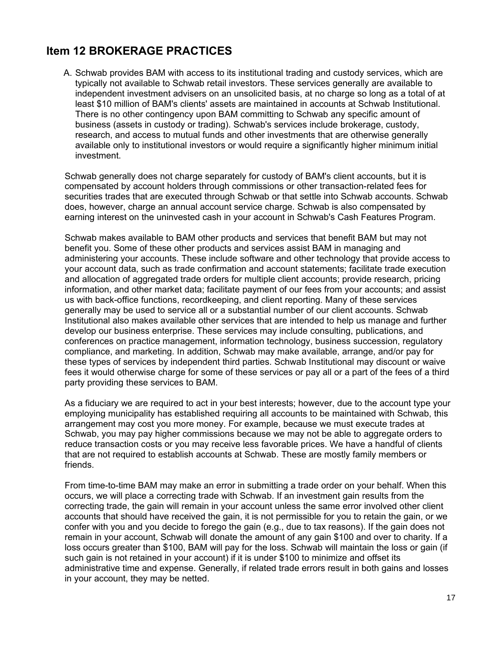## **Item 12 BROKERAGE PRACTICES**

A. Schwab provides BAM with access to its institutional trading and custody services, which are typically not available to Schwab retail investors. These services generally are available to independent investment advisers on an unsolicited basis, at no charge so long as a total of at least \$10 million of BAM's clients' assets are maintained in accounts at Schwab Institutional. There is no other contingency upon BAM committing to Schwab any specific amount of business (assets in custody or trading). Schwab's services include brokerage, custody, research, and access to mutual funds and other investments that are otherwise generally available only to institutional investors or would require a significantly higher minimum initial investment.

Schwab generally does not charge separately for custody of BAM's client accounts, but it is compensated by account holders through commissions or other transaction-related fees for securities trades that are executed through Schwab or that settle into Schwab accounts. Schwab does, however, charge an annual account service charge. Schwab is also compensated by earning interest on the uninvested cash in your account in Schwab's Cash Features Program.

Schwab makes available to BAM other products and services that benefit BAM but may not benefit you. Some of these other products and services assist BAM in managing and administering your accounts. These include software and other technology that provide access to your account data, such as trade confirmation and account statements; facilitate trade execution and allocation of aggregated trade orders for multiple client accounts; provide research, pricing information, and other market data; facilitate payment of our fees from your accounts; and assist us with back-office functions, recordkeeping, and client reporting. Many of these services generally may be used to service all or a substantial number of our client accounts. Schwab Institutional also makes available other services that are intended to help us manage and further develop our business enterprise. These services may include consulting, publications, and conferences on practice management, information technology, business succession, regulatory compliance, and marketing. In addition, Schwab may make available, arrange, and/or pay for these types of services by independent third parties. Schwab Institutional may discount or waive fees it would otherwise charge for some of these services or pay all or a part of the fees of a third party providing these services to BAM.

As a fiduciary we are required to act in your best interests; however, due to the account type your employing municipality has established requiring all accounts to be maintained with Schwab, this arrangement may cost you more money. For example, because we must execute trades at Schwab, you may pay higher commissions because we may not be able to aggregate orders to reduce transaction costs or you may receive less favorable prices. We have a handful of clients that are not required to establish accounts at Schwab. These are mostly family members or friends.

From time-to-time BAM may make an error in submitting a trade order on your behalf. When this occurs, we will place a correcting trade with Schwab. If an investment gain results from the correcting trade, the gain will remain in your account unless the same error involved other client accounts that should have received the gain, it is not permissible for you to retain the gain, or we confer with you and you decide to forego the gain (e.g., due to tax reasons). If the gain does not remain in your account, Schwab will donate the amount of any gain \$100 and over to charity. If a loss occurs greater than \$100, BAM will pay for the loss. Schwab will maintain the loss or gain (if such gain is not retained in your account) if it is under \$100 to minimize and offset its administrative time and expense. Generally, if related trade errors result in both gains and losses in your account, they may be netted.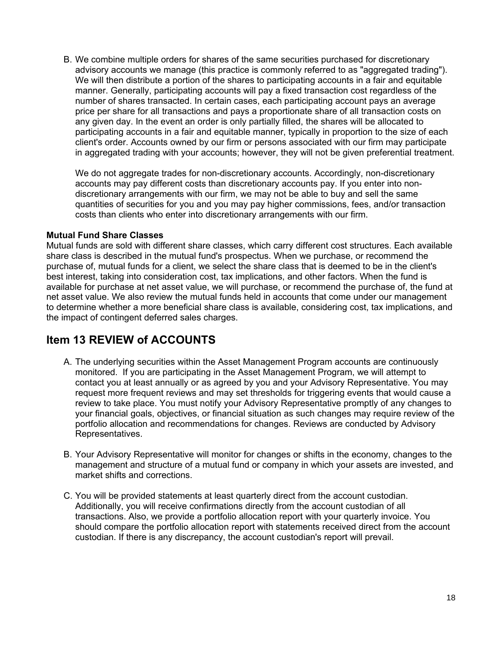B. We combine multiple orders for shares of the same securities purchased for discretionary advisory accounts we manage (this practice is commonly referred to as "aggregated trading"). We will then distribute a portion of the shares to participating accounts in a fair and equitable manner. Generally, participating accounts will pay a fixed transaction cost regardless of the number of shares transacted. In certain cases, each participating account pays an average price per share for all transactions and pays a proportionate share of all transaction costs on any given day. In the event an order is only partially filled, the shares will be allocated to participating accounts in a fair and equitable manner, typically in proportion to the size of each client's order. Accounts owned by our firm or persons associated with our firm may participate in aggregated trading with your accounts; however, they will not be given preferential treatment.

We do not aggregate trades for non-discretionary accounts. Accordingly, non-discretionary accounts may pay different costs than discretionary accounts pay. If you enter into nondiscretionary arrangements with our firm, we may not be able to buy and sell the same quantities of securities for you and you may pay higher commissions, fees, and/or transaction costs than clients who enter into discretionary arrangements with our firm.

### **Mutual Fund Share Classes**

Mutual funds are sold with different share classes, which carry different cost structures. Each available share class is described in the mutual fund's prospectus. When we purchase, or recommend the purchase of, mutual funds for a client, we select the share class that is deemed to be in the client's best interest, taking into consideration cost, tax implications, and other factors. When the fund is available for purchase at net asset value, we will purchase, or recommend the purchase of, the fund at net asset value. We also review the mutual funds held in accounts that come under our management to determine whether a more beneficial share class is available, considering cost, tax implications, and the impact of contingent deferred sales charges.

### **Item 13 REVIEW of ACCOUNTS**

- A. The underlying securities within the Asset Management Program accounts are continuously monitored. If you are participating in the Asset Management Program, we will attempt to contact you at least annually or as agreed by you and your Advisory Representative. You may request more frequent reviews and may set thresholds for triggering events that would cause a review to take place. You must notify your Advisory Representative promptly of any changes to your financial goals, objectives, or financial situation as such changes may require review of the portfolio allocation and recommendations for changes. Reviews are conducted by Advisory Representatives.
- B. Your Advisory Representative will monitor for changes or shifts in the economy, changes to the management and structure of a mutual fund or company in which your assets are invested, and market shifts and corrections.
- C. You will be provided statements at least quarterly direct from the account custodian. Additionally, you will receive confirmations directly from the account custodian of all transactions. Also, we provide a portfolio allocation report with your quarterly invoice. You should compare the portfolio allocation report with statements received direct from the account custodian. If there is any discrepancy, the account custodian's report will prevail.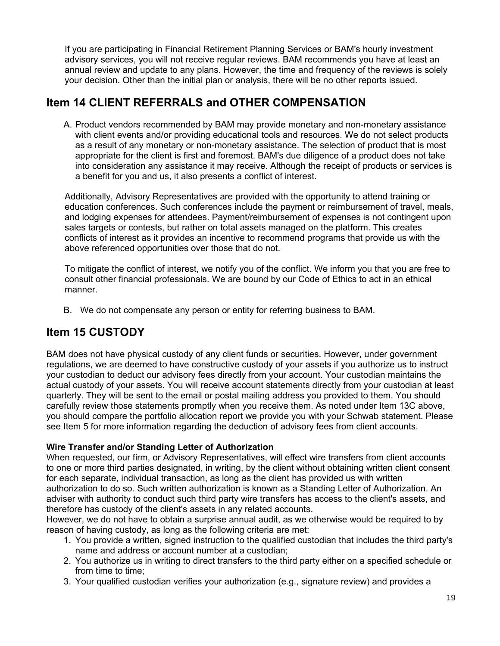If you are participating in Financial Retirement Planning Services or BAM's hourly investment advisory services, you will not receive regular reviews. BAM recommends you have at least an annual review and update to any plans. However, the time and frequency of the reviews is solely your decision. Other than the initial plan or analysis, there will be no other reports issued.

## **Item 14 CLIENT REFERRALS and OTHER COMPENSATION**

A. Product vendors recommended by BAM may provide monetary and non-monetary assistance with client events and/or providing educational tools and resources. We do not select products as a result of any monetary or non-monetary assistance. The selection of product that is most appropriate for the client is first and foremost. BAM's due diligence of a product does not take into consideration any assistance it may receive. Although the receipt of products or services is a benefit for you and us, it also presents a conflict of interest.

Additionally, Advisory Representatives are provided with the opportunity to attend training or education conferences. Such conferences include the payment or reimbursement of travel, meals, and lodging expenses for attendees. Payment/reimbursement of expenses is not contingent upon sales targets or contests, but rather on total assets managed on the platform. This creates conflicts of interest as it provides an incentive to recommend programs that provide us with the above referenced opportunities over those that do not.

To mitigate the conflict of interest, we notify you of the conflict. We inform you that you are free to consult other financial professionals. We are bound by our Code of Ethics to act in an ethical manner.

B. We do not compensate any person or entity for referring business to BAM.

## **Item 15 CUSTODY**

BAM does not have physical custody of any client funds or securities. However, under government regulations, we are deemed to have constructive custody of your assets if you authorize us to instruct your custodian to deduct our advisory fees directly from your account. Your custodian maintains the actual custody of your assets. You will receive account statements directly from your custodian at least quarterly. They will be sent to the email or postal mailing address you provided to them. You should carefully review those statements promptly when you receive them. As noted under Item 13C above, you should compare the portfolio allocation report we provide you with your Schwab statement. Please see Item 5 for more information regarding the deduction of advisory fees from client accounts.

### **Wire Transfer and/or Standing Letter of Authorization**

When requested, our firm, or Advisory Representatives, will effect wire transfers from client accounts to one or more third parties designated, in writing, by the client without obtaining written client consent for each separate, individual transaction, as long as the client has provided us with written authorization to do so. Such written authorization is known as a Standing Letter of Authorization. An adviser with authority to conduct such third party wire transfers has access to the client's assets, and therefore has custody of the client's assets in any related accounts.

However, we do not have to obtain a surprise annual audit, as we otherwise would be required to by reason of having custody, as long as the following criteria are met:

- 1. You provide a written, signed instruction to the qualified custodian that includes the third party's name and address or account number at a custodian;
- 2. You authorize us in writing to direct transfers to the third party either on a specified schedule or from time to time;
- 3. Your qualified custodian verifies your authorization (e.g., signature review) and provides a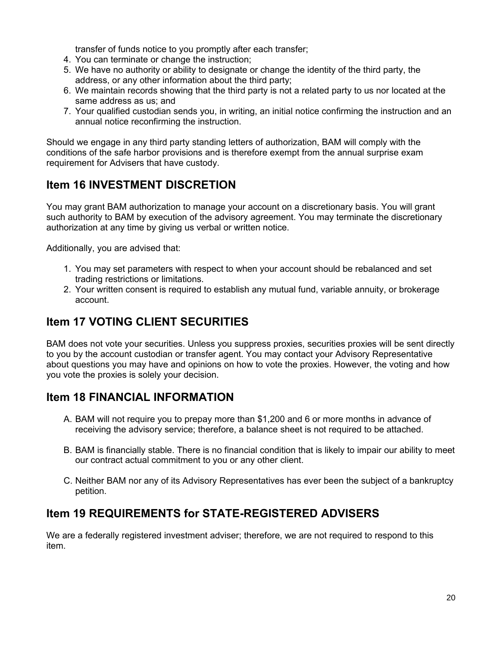transfer of funds notice to you promptly after each transfer;

- 4. You can terminate or change the instruction;
- 5. We have no authority or ability to designate or change the identity of the third party, the address, or any other information about the third party;
- 6. We maintain records showing that the third party is not a related party to us nor located at the same address as us; and
- 7. Your qualified custodian sends you, in writing, an initial notice confirming the instruction and an annual notice reconfirming the instruction.

Should we engage in any third party standing letters of authorization, BAM will comply with the conditions of the safe harbor provisions and is therefore exempt from the annual surprise exam requirement for Advisers that have custody.

## **Item 16 INVESTMENT DISCRETION**

You may grant BAM authorization to manage your account on a discretionary basis. You will grant such authority to BAM by execution of the advisory agreement. You may terminate the discretionary authorization at any time by giving us verbal or written notice.

Additionally, you are advised that:

- 1. You may set parameters with respect to when your account should be rebalanced and set trading restrictions or limitations.
- 2. Your written consent is required to establish any mutual fund, variable annuity, or brokerage account.

## **Item 17 VOTING CLIENT SECURITIES**

BAM does not vote your securities. Unless you suppress proxies, securities proxies will be sent directly to you by the account custodian or transfer agent. You may contact your Advisory Representative about questions you may have and opinions on how to vote the proxies. However, the voting and how you vote the proxies is solely your decision.

### **Item 18 FINANCIAL INFORMATION**

- A. BAM will not require you to prepay more than \$1,200 and 6 or more months in advance of receiving the advisory service; therefore, a balance sheet is not required to be attached.
- B. BAM is financially stable. There is no financial condition that is likely to impair our ability to meet our contract actual commitment to you or any other client.
- C. Neither BAM nor any of its Advisory Representatives has ever been the subject of a bankruptcy petition.

### **Item 19 REQUIREMENTS for STATE-REGISTERED ADVISERS**

We are a federally registered investment adviser; therefore, we are not required to respond to this item.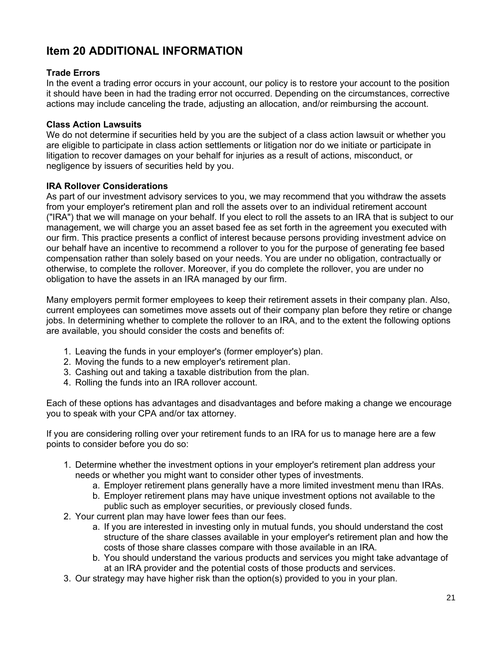# **Item 20 ADDITIONAL INFORMATION**

### **Trade Errors**

In the event a trading error occurs in your account, our policy is to restore your account to the position it should have been in had the trading error not occurred. Depending on the circumstances, corrective actions may include canceling the trade, adjusting an allocation, and/or reimbursing the account.

### **Class Action Lawsuits**

We do not determine if securities held by you are the subject of a class action lawsuit or whether you are eligible to participate in class action settlements or litigation nor do we initiate or participate in litigation to recover damages on your behalf for injuries as a result of actions, misconduct, or negligence by issuers of securities held by you.

### **IRA Rollover Considerations**

As part of our investment advisory services to you, we may recommend that you withdraw the assets from your employer's retirement plan and roll the assets over to an individual retirement account ("IRA") that we will manage on your behalf. If you elect to roll the assets to an IRA that is subject to our management, we will charge you an asset based fee as set forth in the agreement you executed with our firm. This practice presents a conflict of interest because persons providing investment advice on our behalf have an incentive to recommend a rollover to you for the purpose of generating fee based compensation rather than solely based on your needs. You are under no obligation, contractually or otherwise, to complete the rollover. Moreover, if you do complete the rollover, you are under no obligation to have the assets in an IRA managed by our firm.

Many employers permit former employees to keep their retirement assets in their company plan. Also, current employees can sometimes move assets out of their company plan before they retire or change jobs. In determining whether to complete the rollover to an IRA, and to the extent the following options are available, you should consider the costs and benefits of:

- 1. Leaving the funds in your employer's (former employer's) plan.
- 2. Moving the funds to a new employer's retirement plan.
- 3. Cashing out and taking a taxable distribution from the plan.
- 4. Rolling the funds into an IRA rollover account.

Each of these options has advantages and disadvantages and before making a change we encourage you to speak with your CPA and/or tax attorney.

If you are considering rolling over your retirement funds to an IRA for us to manage here are a few points to consider before you do so:

- 1. Determine whether the investment options in your employer's retirement plan address your needs or whether you might want to consider other types of investments.
	- a. Employer retirement plans generally have a more limited investment menu than IRAs.
	- b. Employer retirement plans may have unique investment options not available to the public such as employer securities, or previously closed funds.
- 2. Your current plan may have lower fees than our fees.
	- a. If you are interested in investing only in mutual funds, you should understand the cost structure of the share classes available in your employer's retirement plan and how the costs of those share classes compare with those available in an IRA.
	- b. You should understand the various products and services you might take advantage of at an IRA provider and the potential costs of those products and services.
- 3. Our strategy may have higher risk than the option(s) provided to you in your plan.